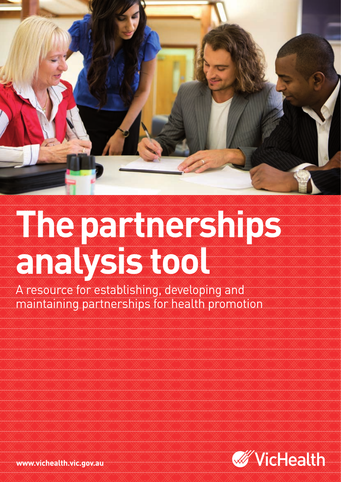

# **The partnerships analysis tool**

A resource for establishing, developing and maintaining partnerships for health promotion



www.vichealth.vic.gov.au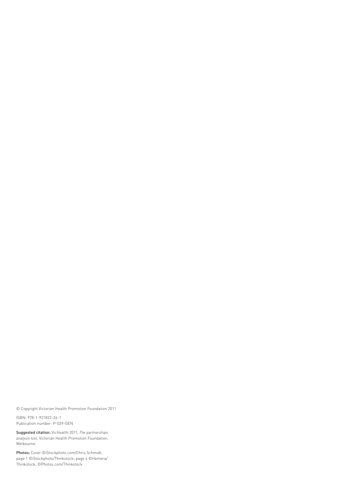© Copyright Victorian Health Promotion Foundation 2011

ISBN: 978-1-921822-26-1 Publication number: P-039-GEN

Suggested citation: VicHealth 2011, *The partnerships analysis tool,* Victorian Health Promotion Foundation, Melbourne.

Photos: Cover ©iStockphoto.com/Chris Schmidt; page 1 ©iStockphoto/Thinkstock; page 4 ©Hemera/ Thinkstock; ©Photos.com/Thinkstock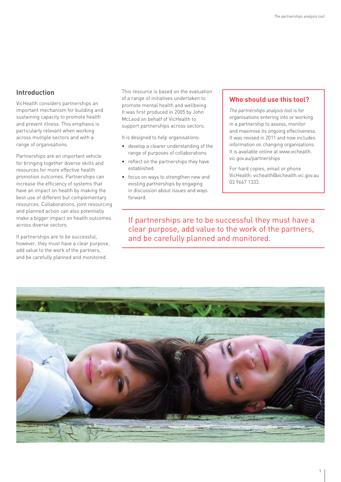## **Introduction**

VicHealth considers partnerships an important mechanism for building and sustaining capacity to promote health and prevent illness. This emphasis is particularly relevant when working across multiple sectors and with a range of organisations.

Partnerships are an important vehicle for bringing together diverse skills and resources for more effective health promotion outcomes. Partnerships can increase the efficiency of systems that have an impact on health by making the best use of different but complementary resources. Collaborations, joint resourcing and planned action can also potentially make a bigger impact on health outcomes across diverse sectors.

If partnerships are to be successful, however, they must have a clear purpose, add value to the work of the partners, and be carefully planned and monitored.

This resource is based on the evaluation of a range of initiatives undertaken to promote mental health and wellbeing. It was first produced in 2005 by John McLeod on behalf of VicHealth to support partnerships across sectors.

It is designed to help organisations:

- develop a clearer understanding of the range of purposes of collaborations
- reflect on the partnerships they have established
- focus on ways to strengthen new and existing partnerships by engaging in discussion about issues and ways forward.

# **Who should use this tool?**

*The partnerships analysis tool* is for organisations entering into or working in a partnership to assess, monitor and maximise its ongoing effectiveness. It was revised in 2011 and now includes information on changing organisations. It is available online at www.vichealth. vic.gov.au/partnerships

For hard copies, email or phone VicHealth: vichealth@vichealth.vic.gov.au 03 9667 1333.

If partnerships are to be successful they must have a clear purpose, add value to the work of the partners, and be carefully planned and monitored.

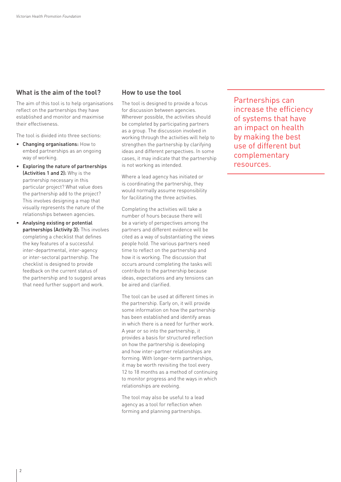# **What is the aim of the tool?**

The aim of this tool is to help organisations reflect on the partnerships they have established and monitor and maximise their effectiveness.

The tool is divided into three sections:

- Changing organisations: How to embed partnerships as an ongoing way of working.
- Exploring the nature of partnerships (Activities 1 and 2): Why is the partnership necessary in this particular project? What value does the partnership add to the project? This involves designing a map that visually represents the nature of the relationships between agencies.
- Analysing existing or potential partnerships (Activity 3): This involves completing a checklist that defines the key features of a successful inter-departmental, inter-agency or inter-sectoral partnership. The checklist is designed to provide feedback on the current status of the partnership and to suggest areas that need further support and work.

### **How to use the tool**

The tool is designed to provide a focus for discussion between agencies. Wherever possible, the activities should be completed by participating partners as a group. The discussion involved in working through the activities will help to strengthen the partnership by clarifying ideas and different perspectives. In some cases, it may indicate that the partnership is not working as intended.

Where a lead agency has initiated or is coordinating the partnership, they would normally assume responsibility for facilitating the three activities.

Completing the activities will take a number of hours because there will be a variety of perspectives among the partners and different evidence will be cited as a way of substantiating the views people hold. The various partners need time to reflect on the partnership and how it is working. The discussion that occurs around completing the tasks will contribute to the partnership because ideas, expectations and any tensions can be aired and clarified.

The tool can be used at different times in the partnership. Early on, it will provide some information on how the partnership has been established and identify areas in which there is a need for further work. A year or so into the partnership, it provides a basis for structured reflection on how the partnership is developing and how inter-partner relationships are forming. With longer-term partnerships, it may be worth revisiting the tool every 12 to 18 months as a method of continuing to monitor progress and the ways in which relationships are evolving.

The tool may also be useful to a lead agency as a tool for reflection when forming and planning partnerships.

Partnerships can increase the efficiency of systems that have an impact on health by making the best use of different but complementary resources.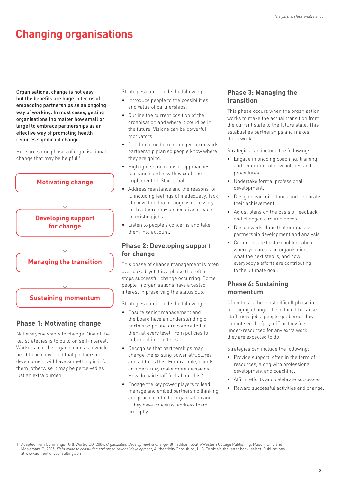# **Changing organisations**

Organisational change is not easy, but the benefits are huge in terms of embedding partnerships as an ongoing way of working. In most cases, getting organisations (no matter how small or large) to embrace partnerships as an effective way of promoting health requires significant change.

Here are some phases of organisational change that may be helpful.<sup>1</sup>



# **Phase 1: Motivating change**

Not everyone wants to change. One of the key strategies is to build on self-interest. Workers and the organisation as a whole need to be convinced that partnership development will have something in it for them, otherwise it may be perceived as just an extra burden.

Strategies can include the following:

- Introduce people to the possibilities and value of partnerships.
- Outline the current position of the organisation and where it could be in the future. Visions can be powerful motivators.
- Develop a medium or longer-term work partnership plan so people know where they are going.
- Highlight some realistic approaches to change and how they could be implemented. Start small.
- Address resistance and the reasons for it, including feelings of inadequacy, lack of conviction that change is necessary or that there may be negative impacts on existing jobs.
- Listen to people's concerns and take them into account.

# **Phase 2: Developing support for change**

This phase of change management is often overlooked, yet it is a phase that often stops successful change occurring. Some people in organisations have a vested interest in preserving the status quo.

Strategies can include the following:

- Ensure senior management and the board have an understanding of partnerships and are committed to them at every level, from policies to individual interactions.
- Recognise that partnerships may change the existing power structures and address this. For example, clients or others may make more decisions. How do paid staff feel about this?
- Engage the key power players to lead, manage and embed partnership thinking and practice into the organisation and, if they have concerns, address them promptly.

# **Phase 3: Managing the transition**

This phase occurs when the organisation works to make the actual transition from the current state to the future state. This establishes partnerships and makes them work.

Strategies can include the following:

- Engage in ongoing coaching, training and reiteration of new policies and procedures.
- Undertake formal professional development.
- Design clear milestones and celebrate their achievement.
- Adjust plans on the basis of feedback and changed circumstances.
- Design work plans that emphasise partnership development and analysis.
- Communicate to stakeholders about where you are as an organisation, what the next step is, and how everybody's efforts are contributing to the ultimate goal.

## **Phase 4: Sustaining momentum**

Often this is the most difficult phase in managing change. It is difficult because staff move jobs, people get bored, they cannot see the 'pay-off' or they feel under-resourced for any extra work they are expected to do.

Strategies can include the following:

- Provide support, often in the form of resources, along with professional development and coaching.
- Affirm efforts and celebrate successes.
- Reward successful activities and change.

<sup>1</sup> Adapted from Cummings TG & Worley CG, 2004, *Organization Development & Change*, 8th edition, South-Western College Publishing, Mason, Ohio and McNamara C, 2005, *Field guide to consulting and organizational development*, Authenticity Consulting, LLC. To obtain the latter book, select 'Publications' at www.authenticityconsulting.com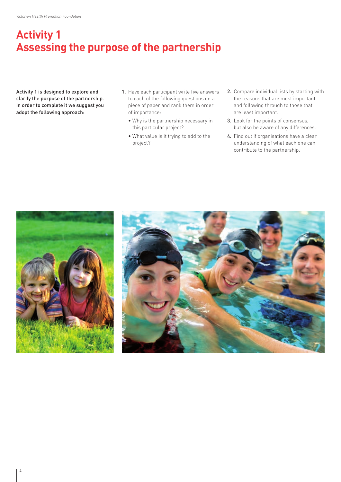# **Activity 1 Assessing the purpose of the partnership**

Activity 1 is designed to explore and clarify the purpose of the partnership. In order to complete it we suggest you adopt the following approach:

- 1. Have each participant write five answers to each of the following questions on a piece of paper and rank them in order of importance:
	- Why is the partnership necessary in this particular project?
	- What value is it trying to add to the project?
- 2. Compare individual lists by starting with the reasons that are most important and following through to those that are least important.
- 3. Look for the points of consensus, but also be aware of any differences.
- 4. Find out if organisations have a clear understanding of what each one can contribute to the partnership.



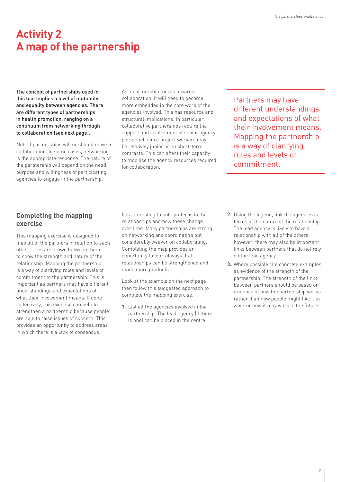# **Activity 2 A map of the partnership**

The concept of partnerships used in this tool implies a level of mutuality and equality between agencies. There are different types of partnerships in health promotion, ranging on a continuum from networking through to collaboration (see next page).

Not all partnerships will or should move to collaboration. In some cases, networking is the appropriate response. The nature of the partnership will depend on the need, purpose and willingness of participating agencies to engage in the partnership.

As a partnership moves towards collaboration, it will need to become more embedded in the core work of the agencies involved. This has resource and structural implications. In particular, collaborative partnerships require the support and involvement of senior agency personnel, since project workers may be relatively junior or on short-term contracts. This can affect their capacity to mobilise the agency resources required for collaboration.

Partners may have different understandings and expectations of what their involvement means. Mapping the partnership is a way of clarifying roles and levels of commitment.

# **Completing the mapping exercise**

This mapping exercise is designed to map all of the partners in relation to each other. Lines are drawn between them to show the strength and nature of the relationship. Mapping the partnership is a way of clarifying roles and levels of commitment to the partnership. This is important as partners may have different understandings and expectations of what their involvement means. If done collectively, this exercise can help to strengthen a partnership because people are able to raise issues of concern. This provides an opportunity to address areas in which there is a lack of consensus.

It is interesting to note patterns in the relationships and how these change over time. Many partnerships are strong on networking and coordinating but considerably weaker on collaborating. Completing the map provides an opportunity to look at ways that relationships can be strengthened and made more productive.

Look at the example on the next page then follow this suggested approach to complete the mapping exercise:

- 1. List all the agencies involved in the partnership. The lead agency (if there is one) can be placed in the centre.
- 2. Using the legend, link the agencies in terms of the nature of the relationship. The lead agency is likely to have a relationship with all of the others; however, there may also be important links between partners that do not rely on the lead agency.
- 3. Where possible cite concrete examples as evidence of the strength of the partnership. The strength of the links between partners should be based on evidence of how the partnership works rather than how people might like it to work or how it may work in the future.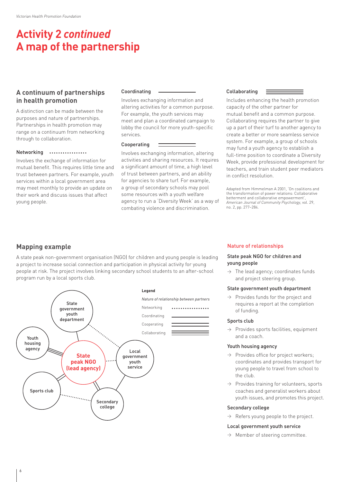# **Activity 2** *continued* **A map of the partnership**

## **A continuum of partnerships in health promotion**

A distinction can be made between the purposes and nature of partnerships. Partnerships in health promotion may range on a continuum from networking through to collaboration.

#### Networking

Involves the exchange of information for mutual benefit. This requires little time and trust between partners. For example, youth services within a local government area may meet monthly to provide an update on their work and discuss issues that affect young people.

#### Coordinating

Involves exchanging information and altering activities for a common purpose. For example, the youth services may meet and plan a coordinated campaign to lobby the council for more youth-specific services.

#### Cooperating

Involves exchanging information, altering activities and sharing resources. It requires a significant amount of time, a high level of trust between partners, and an ability for agencies to share turf. For example, a group of secondary schools may pool some resources with a youth welfare agency to run a 'Diversity Week' as a way of combating violence and discrimination.

#### Collaborating

Includes enhancing the health promotion capacity of the other partner for mutual benefit and a common purpose. Collaborating requires the partner to give up a part of their turf to another agency to create a better or more seamless service system. For example, a group of schools may fund a youth agency to establish a full-time position to coordinate a Diversity Week, provide professional development for teachers, and train student peer mediators in conflict resolution.

Adapted from Himmelman A 2001, 'On coalitions and the transformation of power relations: Collaborative betterment and collaborative empowerment', *American Journal of Community Psychology*, vol. 29, no. 2, pp. 277–284.

## **Mapping example**

A state peak non-government organisation (NGO) for children and young people is leading a project to increase social connection and participation in physical activity for young people at risk. The project involves linking secondary school students to an after-school program run by a local sports club.



#### Nature of relationships

#### State peak NGO for children and young people

 $\rightarrow$  The lead agency; coordinates funds and project steering group.

#### State government youth department

 $\rightarrow$  Provides funds for the project and requires a report at the completion of funding.

#### Sports club

 $\rightarrow$  Provides sports facilities, equipment and a coach.

#### Youth housing agency

- $\rightarrow$  Provides office for project workers; coordinates and provides transport for young people to travel from school to the club.
- $\rightarrow$  Provides training for volunteers, sports coaches and generalist workers about youth issues, and promotes this project.

#### Secondary college

 $\rightarrow$  Refers young people to the project.

#### Local government youth service

 $\rightarrow$  Member of steering committee.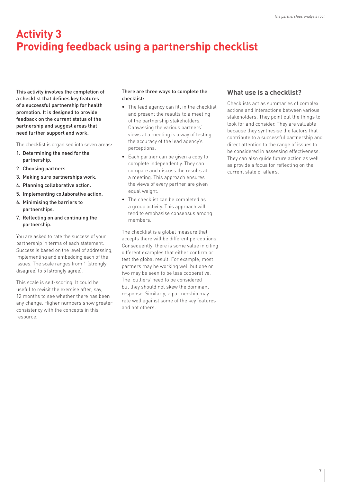# **Activity 3 Providing feedback using a partnership checklist**

This activity involves the completion of a checklist that defines key features of a successful partnership for health promotion. It is designed to provide feedback on the current status of the partnership and suggest areas that need further support and work.

The checklist is organised into seven areas:

- 1. Determining the need for the partnership.
- 2. Choosing partners.
- 3. Making sure partnerships work.
- 4. Planning collaborative action.
- 5. Implementing collaborative action.
- 6. Minimising the barriers to partnerships.
- 7. Reflecting on and continuing the partnership.

You are asked to rate the success of your partnership in terms of each statement. Success is based on the level of addressing, implementing and embedding each of the issues. The scale ranges from 1 (strongly disagree) to 5 (strongly agree).

This scale is self-scoring. It could be useful to revisit the exercise after, say, 12 months to see whether there has been any change. Higher numbers show greater consistency with the concepts in this resource.

#### There are three ways to complete the checklist:

- The lead agency can fill in the checklist and present the results to a meeting of the partnership stakeholders. Canvassing the various partners' views at a meeting is a way of testing the accuracy of the lead agency's perceptions.
- Each partner can be given a copy to complete independently. They can compare and discuss the results at a meeting. This approach ensures the views of every partner are given equal weight.
- The checklist can be completed as a group activity. This approach will tend to emphasise consensus among members.

The checklist is a global measure that accepts there will be different perceptions. Consequently, there is some value in citing different examples that either confirm or test the global result. For example, most partners may be working well but one or two may be seen to be less cooperative. The 'outliers' need to be considered but they should not skew the dominant response. Similarly, a partnership may rate well against some of the key features and not others.

## **What use is a checklist?**

Checklists act as summaries of complex actions and interactions between various stakeholders. They point out the things to look for and consider. They are valuable because they synthesise the factors that contribute to a successful partnership and direct attention to the range of issues to be considered in assessing effectiveness. They can also guide future action as well as provide a focus for reflecting on the current state of affairs.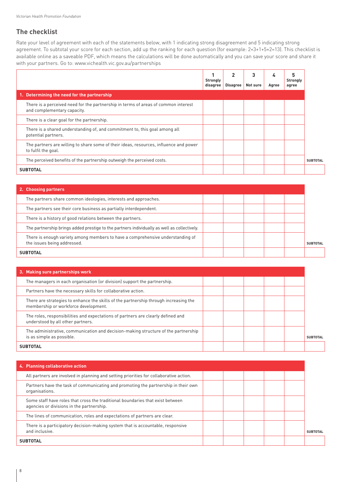# **The checklist**

Rate your level of agreement with each of the statements below, with 1 indicating strong disagreement and 5 indicating strong agreement. To subtotal your score for each section, add up the ranking for each question (for example: 2+3+1+5+2=13). This checklist is available online as a saveable PDF, which means the calculations will be done automatically and you can save your score and share it with your partners. Go to: www.vichealth.vic.gov.au/partnerships

|                                                                                                                   | <b>Strongly</b><br>disagree | $\mathbf{2}$<br>Disagree | 3<br>Not sure | 4<br>Agree | <b>Strongly</b><br>agree |                 |
|-------------------------------------------------------------------------------------------------------------------|-----------------------------|--------------------------|---------------|------------|--------------------------|-----------------|
| 1. Determining the need for the partnership                                                                       |                             |                          |               |            |                          |                 |
| There is a perceived need for the partnership in terms of areas of common interest<br>and complementary capacity. |                             |                          |               |            |                          |                 |
| There is a clear goal for the partnership.                                                                        |                             |                          |               |            |                          |                 |
| There is a shared understanding of, and commitment to, this goal among all<br>potential partners.                 |                             |                          |               |            |                          |                 |
| The partners are willing to share some of their ideas, resources, influence and power<br>to fulfil the goal.      |                             |                          |               |            |                          |                 |
| The perceived benefits of the partnership outweigh the perceived costs.                                           |                             |                          |               |            |                          | <b>SUBTOTAL</b> |
| <b>SUBTOTAL</b>                                                                                                   |                             |                          |               |            |                          |                 |

| 2. Choosing partners                                                                                          |  |  |                 |
|---------------------------------------------------------------------------------------------------------------|--|--|-----------------|
| The partners share common ideologies, interests and approaches.                                               |  |  |                 |
| The partners see their core business as partially interdependent.                                             |  |  |                 |
| There is a history of good relations between the partners.                                                    |  |  |                 |
| The partnership brings added prestige to the partners individually as well as collectively.                   |  |  |                 |
| There is enough variety among members to have a comprehensive understanding of<br>the issues being addressed. |  |  | <b>SUBTOTAL</b> |
| <b>SUBTOTAL</b>                                                                                               |  |  |                 |

| 3. Making sure partnerships work                                                                                             |  |  |                 |
|------------------------------------------------------------------------------------------------------------------------------|--|--|-----------------|
| The managers in each organisation (or division) support the partnership.                                                     |  |  |                 |
| Partners have the necessary skills for collaborative action.                                                                 |  |  |                 |
| There are strategies to enhance the skills of the partnership through increasing the<br>membership or workforce development. |  |  |                 |
| The roles, responsibilities and expectations of partners are clearly defined and<br>understood by all other partners.        |  |  |                 |
| The administrative, communication and decision-making structure of the partnership<br>is as simple as possible.              |  |  | <b>SUBTOTAL</b> |
| <b>SUBTOTAL</b>                                                                                                              |  |  |                 |

| 4. Planning collaborative action                                                                                            |  |  |  |
|-----------------------------------------------------------------------------------------------------------------------------|--|--|--|
| All partners are involved in planning and setting priorities for collaborative action.                                      |  |  |  |
| Partners have the task of communicating and promoting the partnership in their own<br>organisations.                        |  |  |  |
| Some staff have roles that cross the traditional boundaries that exist between<br>agencies or divisions in the partnership. |  |  |  |
| The lines of communication, roles and expectations of partners are clear.                                                   |  |  |  |
| There is a participatory decision-making system that is accountable, responsive<br>and inclusive.                           |  |  |  |
| <b>SUBTOTAL</b>                                                                                                             |  |  |  |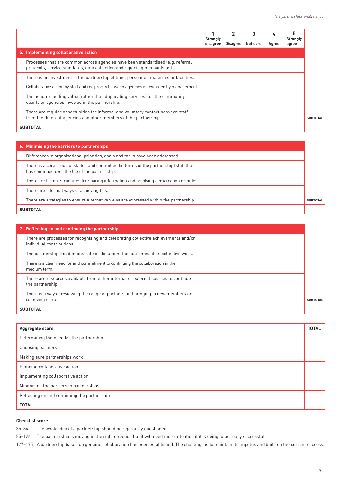|                                                                                                                                                             | Strongly<br>disagree | $\overline{2}$<br>Disagree | 3<br>Not sure | 4<br>Agree | 5<br><b>Strongly</b><br>agree |
|-------------------------------------------------------------------------------------------------------------------------------------------------------------|----------------------|----------------------------|---------------|------------|-------------------------------|
| 5. Implementing collaborative action                                                                                                                        |                      |                            |               |            |                               |
| Processes that are common across agencies have been standardised (e.g. referral<br>protocols, service standards, data collection and reporting mechanisms). |                      |                            |               |            |                               |
| There is an investment in the partnership of time, personnel, materials or facilities.                                                                      |                      |                            |               |            |                               |
| Collaborative action by staff and reciprocity between agencies is rewarded by management.                                                                   |                      |                            |               |            |                               |
| The action is adding value (rather than duplicating services) for the community,<br>clients or agencies involved in the partnership.                        |                      |                            |               |            |                               |
| There are regular opportunities for informal and voluntary contact between staff<br>from the different agencies and other members of the partnership.       |                      |                            |               |            |                               |
| <b>SUBTOTAL</b>                                                                                                                                             |                      |                            |               |            |                               |

| 6. Minimising the barriers to partnerships                                                                                                 |                 |
|--------------------------------------------------------------------------------------------------------------------------------------------|-----------------|
| Differences in organisational priorities, goals and tasks have been addressed.                                                             |                 |
| There is a core group of skilled and committed (in terms of the partnership) staff that<br>has continued over the life of the partnership. |                 |
| There are formal structures for sharing information and resolving demarcation disputes.                                                    |                 |
| There are informal ways of achieving this.                                                                                                 |                 |
| There are strategies to ensure alternative views are expressed within the partnership.                                                     | <b>SURTOTAL</b> |
| <b>SUBTOTAL</b>                                                                                                                            |                 |

| 7. Reflecting on and continuing the partnership                                                                 |  |  |                 |
|-----------------------------------------------------------------------------------------------------------------|--|--|-----------------|
| There are processes for recognising and celebrating collective achievements and/or<br>individual contributions. |  |  |                 |
| The partnership can demonstrate or document the outcomes of its collective work.                                |  |  |                 |
| There is a clear need for and commitment to continuing the collaboration in the<br>medium term.                 |  |  |                 |
| There are resources available from either internal or external sources to continue<br>the partnership.          |  |  |                 |
| There is a way of reviewing the range of partners and bringing in new members or<br>removing some.              |  |  | <b>SUBTOTAL</b> |
| <b>SUBTOTAL</b>                                                                                                 |  |  |                 |

| Aggregate score                              | <b>TOTAL</b> |
|----------------------------------------------|--------------|
| Determining the need for the partnership     |              |
| Choosing partners                            |              |
| Making sure partnerships work                |              |
| Planning collaborative action                |              |
| Implementing collaborative action            |              |
| Minimising the barriers to partnerships      |              |
| Reflecting on and continuing the partnership |              |
| <b>TOTAL</b>                                 |              |

#### **Checklist score**

35–84 The whole idea of a partnership should be rigorously questioned.

85–126 The partnership is moving in the right direction but it will need more attention if it is going to be really successful.

127–175 A partnership based on genuine collaboration has been established. The challenge is to maintain its impetus and build on the current success.